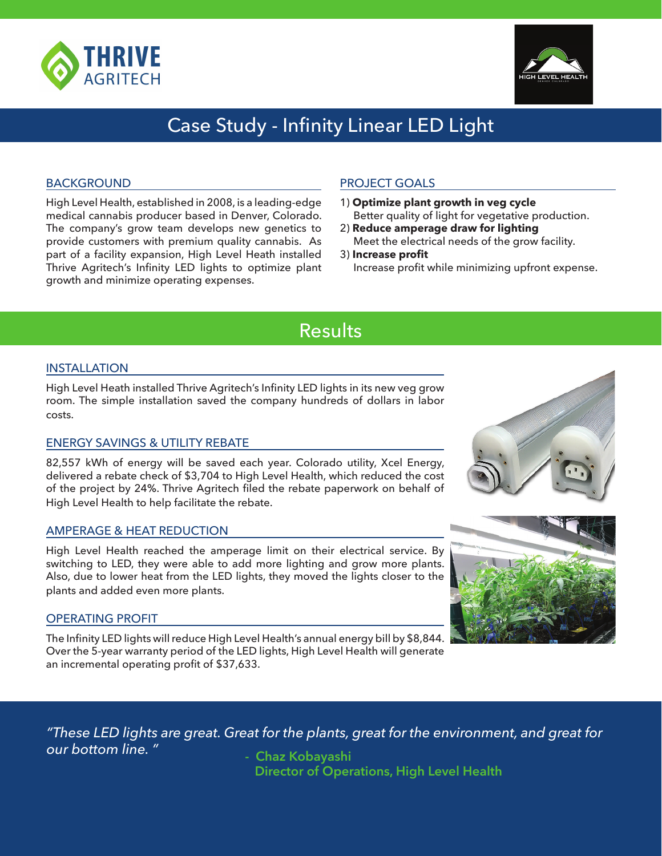



# Case Study - Infinity Linear LED Light

#### BACKGROUND

High Level Health, established in 2008, is a leading-edge medical cannabis producer based in Denver, Colorado. The company's grow team develops new genetics to provide customers with premium quality cannabis. As part of a facility expansion, High Level Heath installed Thrive Agritech's Infinity LED lights to optimize plant growth and minimize operating expenses.

### PROJECT GOALS

- 1) **Optimize plant growth in veg cycle**  Better quality of light for vegetative production.
- 2) **Reduce amperage draw for lighting** Meet the electrical needs of the grow facility.
- 3) **Increase profit** Increase profit while minimizing upfront expense.

## Results

#### INSTALLATION

High Level Heath installed Thrive Agritech's Infinity LED lights in its new veg grow room. The simple installation saved the company hundreds of dollars in labor costs.

#### ENERGY SAVINGS & UTILITY REBATE

82,557 kWh of energy will be saved each year. Colorado utility, Xcel Energy, delivered a rebate check of \$3,704 to High Level Health, which reduced the cost of the project by 24%. Thrive Agritech filed the rebate paperwork on behalf of High Level Health to help facilitate the rebate.

#### AMPERAGE & HEAT REDUCTION

High Level Health reached the amperage limit on their electrical service. By switching to LED, they were able to add more lighting and grow more plants. Also, due to lower heat from the LED lights, they moved the lights closer to the plants and added even more plants.

#### OPERATING PROFIT

The Infinity LED lights will reduce High Level Health's annual energy bill by \$8,844. Over the 5-year warranty period of the LED lights, High Level Health will generate an incremental operating profit of \$37,633.

*"These LED lights are great. Great for the plants, great for the environment, and great for our bottom line. "* **- Chaz Kobayashi**

 **Director of Operations, High Level Health**